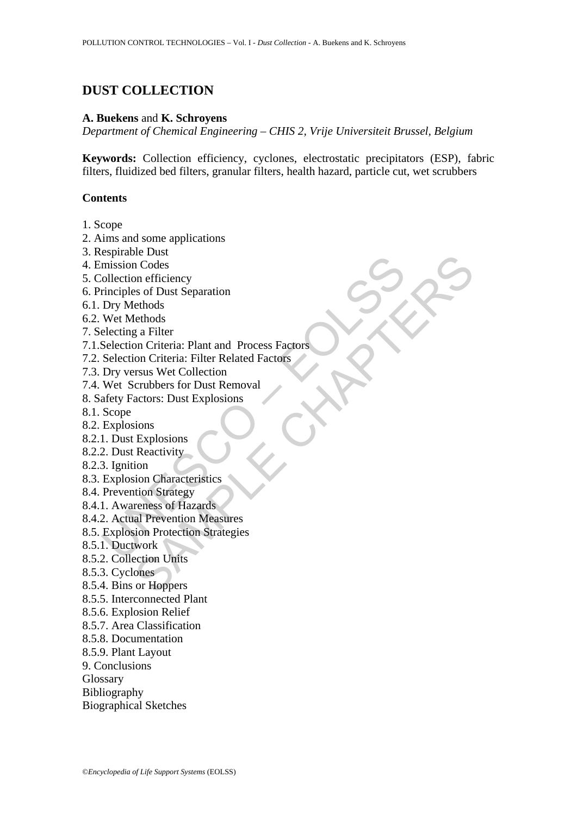## **DUST COLLECTION**

### **A. Buekens** and **K. Schroyens**

*Department of Chemical Engineering – CHIS 2, Vrije Universiteit Brussel, Belgium* 

**Keywords:** Collection efficiency, cyclones, electrostatic precipitators (ESP), fabric filters, fluidized bed filters, granular filters, health hazard, particle cut, wet scrubbers

### **Contents**

- 1. Scope
- 2. Aims and some applications
- 3. Respirable Dust
- 4. Emission Codes
- 5. Collection efficiency
- 6. Principles of Dust Separation
- 6.1. Dry Methods
- 6.2. Wet Methods
- 7. Selecting a Filter
- Exploration Codes<br>
mission Codes<br>
collection efficiency<br>
rinciples of Dust Separation<br>
Dry Methods<br>
Wet Methods<br>
electing a Filter<br>
Selection Criteria: Filar and Process Factors<br>
Selection Criteria: Filter Related Factors<br> be Date<br>
or Codes<br>
on Codes<br>
ethods<br>
ethods<br>
ethods<br>
g a Filter<br>
clendides<br>
g a Filter<br>
con Crieria: Plant and Process Factors<br>
con Crieria: Filter Related Factors<br>
strass Wet Collection<br>
crubbers for Dust Removal<br>
actors: 7.1.Selection Criteria: Plant and Process Factors
- 7.2. Selection Criteria: Filter Related Factors
- 7.3. Dry versus Wet Collection
- 7.4. Wet Scrubbers for Dust Removal
- 8. Safety Factors: Dust Explosions
- 8.1. Scope
- 8.2. Explosions
- 8.2.1. Dust Explosions
- 8.2.2. Dust Reactivity
- 8.2.3. Ignition
- 8.3. Explosion Characteristics
- 8.4. Prevention Strategy
- 8.4.1. Awareness of Hazards
- 8.4.2. Actual Prevention Measures
- 8.5. Explosion Protection Strategies
- 8.5.1. Ductwork
- 8.5.2. Collection Units
- 8.5.3. Cyclones
- 8.5.4. Bins or Hoppers
- 8.5.5. Interconnected Plant
- 8.5.6. Explosion Relief
- 8.5.7. Area Classification
- 8.5.8. Documentation
- 8.5.9. Plant Layout
- 9. Conclusions
- Glossary
- Bibliography
- Biographical Sketches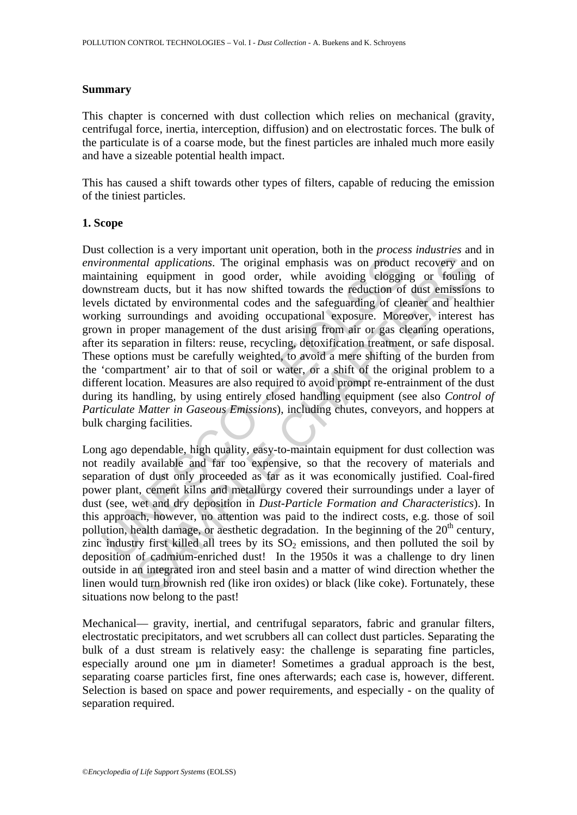### **Summary**

This chapter is concerned with dust collection which relies on mechanical (gravity, centrifugal force, inertia, interception, diffusion) and on electrostatic forces. The bulk of the particulate is of a coarse mode, but the finest particles are inhaled much more easily and have a sizeable potential health impact.

This has caused a shift towards other types of filters, capable of reducing the emission of the tiniest particles.

### **1. Scope**

ironmental applications. The original emphasis was on product<br>taining equipment in good order, while avoiding eloggin<br>mstream ducts, but it has now shifted towards the reduction of<br>ls dictated by environmental codes and t diated applications. The original emphasis was on product recovery and the tradial applications. The original emphasis was on product recovery and the tradial applications. The original emphasis was on product recovery an Dust collection is a very important unit operation, both in the *process industries* and in *environmental applications*. The original emphasis was on product recovery and on maintaining equipment in good order, while avoiding clogging or fouling of downstream ducts, but it has now shifted towards the reduction of dust emissions to levels dictated by environmental codes and the safeguarding of cleaner and healthier working surroundings and avoiding occupational exposure. Moreover, interest has grown in proper management of the dust arising from air or gas cleaning operations, after its separation in filters: reuse, recycling, detoxification treatment, or safe disposal. These options must be carefully weighted, to avoid a mere shifting of the burden from the 'compartment' air to that of soil or water, or a shift of the original problem to a different location. Measures are also required to avoid prompt re-entrainment of the dust during its handling, by using entirely closed handling equipment (see also *Control of Particulate Matter in Gaseous Emissions*), including chutes, conveyors, and hoppers at bulk charging facilities.

Long ago dependable, high quality, easy-to-maintain equipment for dust collection was not readily available and far too expensive, so that the recovery of materials and separation of dust only proceeded as far as it was economically justified. Coal-fired power plant, cement kilns and metallurgy covered their surroundings under a layer of dust (see, wet and dry deposition in *Dust-Particle Formation and Characteristics*). In this approach, however, no attention was paid to the indirect costs, e.g. those of soil pollution, health damage, or aesthetic degradation. In the beginning of the  $20<sup>th</sup>$  century, zinc industry first killed all trees by its  $SO<sub>2</sub>$  emissions, and then polluted the soil by deposition of cadmium-enriched dust! In the 1950s it was a challenge to dry linen outside in an integrated iron and steel basin and a matter of wind direction whether the linen would turn brownish red (like iron oxides) or black (like coke). Fortunately, these situations now belong to the past!

Mechanical— gravity, inertial, and centrifugal separators, fabric and granular filters, electrostatic precipitators, and wet scrubbers all can collect dust particles. Separating the bulk of a dust stream is relatively easy: the challenge is separating fine particles, especially around one µm in diameter! Sometimes a gradual approach is the best, separating coarse particles first, fine ones afterwards; each case is, however, different. Selection is based on space and power requirements, and especially - on the quality of separation required.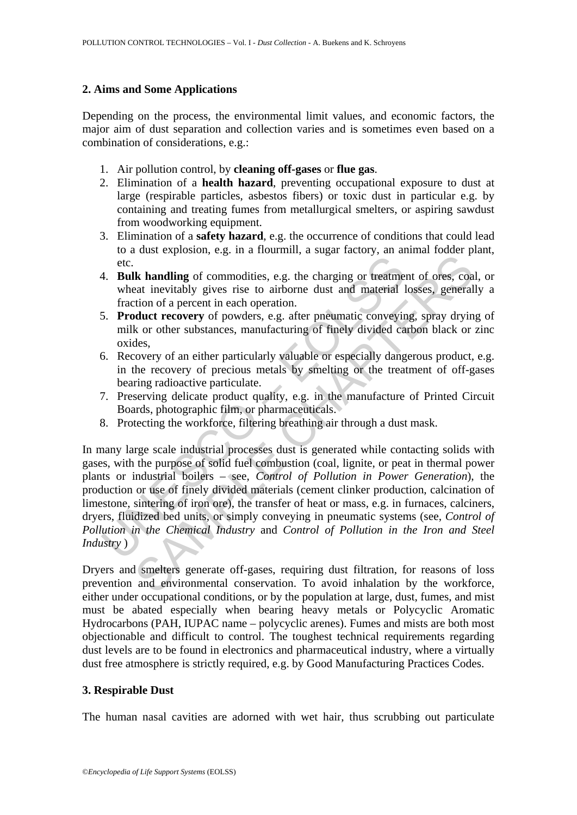## **2. Aims and Some Applications**

Depending on the process, the environmental limit values, and economic factors, the major aim of dust separation and collection varies and is sometimes even based on a combination of considerations, e.g.:

- 1. Air pollution control, by **cleaning off-gases** or **flue gas**.
- 2. Elimination of a **health hazard**, preventing occupational exposure to dust at large (respirable particles, asbestos fibers) or toxic dust in particular e.g. by containing and treating fumes from metallurgical smelters, or aspiring sawdust from woodworking equipment.
- 3. Elimination of a **safety hazard**, e.g. the occurrence of conditions that could lead to a dust explosion, e.g. in a flourmill, a sugar factory, an animal fodder plant, etc.
- 4. **Bulk handling** of commodities, e.g. the charging or treatment of ores, coal, or wheat inevitably gives rise to airborne dust and material losses, generally a fraction of a percent in each operation.
- 5. **Product recovery** of powders, e.g. after pneumatic conveying, spray drying of milk or other substances, manufacturing of finely divided carbon black or zinc oxides,
- 6. Recovery of an either particularly valuable or especially dangerous product, e.g. in the recovery of precious metals by smelting or the treatment of off-gases bearing radioactive particulate.
- 7. Preserving delicate product quality, e.g. in the manufacture of Printed Circuit Boards, photographic film, or pharmaceuticals.
- 8. Protecting the workforce, filtering breathing air through a dust mask.

etc.<br> **Example 15** Follow and the commodities, e.g. the charging or treatment that invitably gives rise to airborne dust and material I fraction of a percent in each operation.<br> **Example 10** Forduct recovery of powders, e. **Example 19** commodities, e.g. the charging or treatment of ores, constrained a predictionly gives rise to arbiton dist and material losses, general ties that invitably gives rise to arbiton of a percent in each operation In many large scale industrial processes dust is generated while contacting solids with gases, with the purpose of solid fuel combustion (coal, lignite, or peat in thermal power plants or industrial boilers – see, *Control of Pollution in Power Generation*), the production or use of finely divided materials (cement clinker production, calcination of limestone, sintering of iron ore), the transfer of heat or mass, e.g. in furnaces, calciners, dryers, fluidized bed units, or simply conveying in pneumatic systems (see, *Control of Pollution in the Chemical Industry* and *Control of Pollution in the Iron and Steel Industry* )

Dryers and smelters generate off-gases, requiring dust filtration, for reasons of loss prevention and environmental conservation. To avoid inhalation by the workforce, either under occupational conditions, or by the population at large, dust, fumes, and mist must be abated especially when bearing heavy metals or Polycyclic Aromatic Hydrocarbons (PAH, IUPAC name – polycyclic arenes). Fumes and mists are both most objectionable and difficult to control. The toughest technical requirements regarding dust levels are to be found in electronics and pharmaceutical industry, where a virtually dust free atmosphere is strictly required, e.g. by Good Manufacturing Practices Codes.

## **3. Respirable Dust**

The human nasal cavities are adorned with wet hair, thus scrubbing out particulate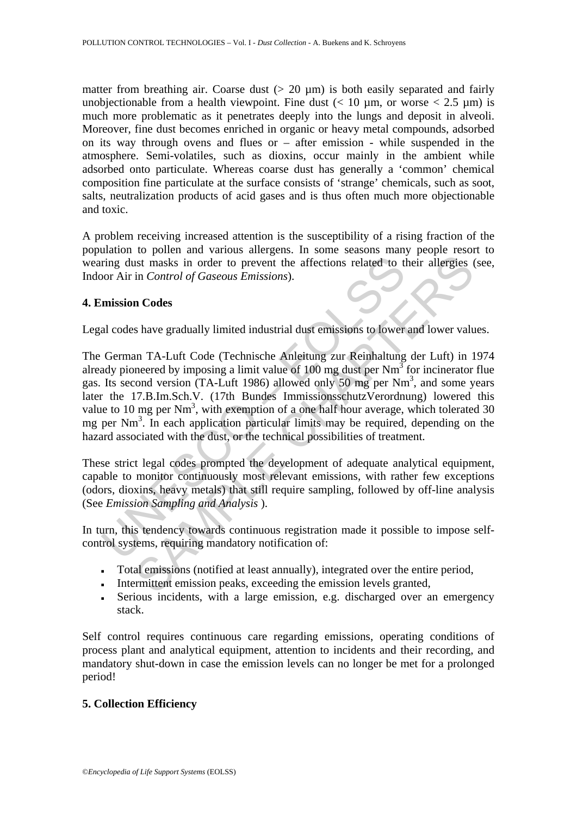matter from breathing air. Coarse dust  $(> 20 \mu m)$  is both easily separated and fairly unobjectionable from a health viewpoint. Fine dust  $(< 10 \text{ um}$ , or worse  $< 2.5 \text{ um}$ ) is much more problematic as it penetrates deeply into the lungs and deposit in alveoli. Moreover, fine dust becomes enriched in organic or heavy metal compounds, adsorbed on its way through ovens and flues or – after emission - while suspended in the atmosphere. Semi-volatiles, such as dioxins, occur mainly in the ambient while adsorbed onto particulate. Whereas coarse dust has generally a 'common' chemical composition fine particulate at the surface consists of 'strange' chemicals, such as soot, salts, neutralization products of acid gases and is thus often much more objectionable and toxic.

A problem receiving increased attention is the susceptibility of a rising fraction of the population to pollen and various allergens. In some seasons many people resort to wearing dust masks in order to prevent the affections related to their allergies (see, Indoor Air in *Control of Gaseous Emissions*).

### **4. Emission Codes**

Legal codes have gradually limited industrial dust emissions to lower and lower values.

ring dust masks in order to prevent the affections related to the order to provent the affections related to the order to provide the missions).<br> **Invission Codes**<br>
al codes have gradually limited industrial dust emission In Control of Gaseous Emissions).<br>
In Control of Gaseous Emissions).<br>
In Control of Gaseous Emissions).<br>
In Codes<br>
Shave gradually limited industrial dust emissions to lower and lower value<br>
In TA-Luft Code (Technische Anl The German TA-Luft Code (Technische Anleitung zur Reinhaltung der Luft) in 1974 already pioneered by imposing a limit value of 100 mg dust per  $Nm^3$  for incinerator flue gas. Its second version (TA-Luft 1986) allowed only 50 mg per Nm<sup>3</sup>, and some years later the 17.B.Im.Sch.V. (17th Bundes ImmissionsschutzVerordnung) lowered this value to 10 mg per  $Nm^3$ , with exemption of a one half hour average, which tolerated 30 mg per Nm<sup>3</sup>. In each application particular limits may be required, depending on the hazard associated with the dust, or the technical possibilities of treatment.

These strict legal codes prompted the development of adequate analytical equipment, capable to monitor continuously most relevant emissions, with rather few exceptions (odors, dioxins, heavy metals) that still require sampling, followed by off-line analysis (See *Emission Sampling and Analysis* ).

In turn, this tendency towards continuous registration made it possible to impose selfcontrol systems, requiring mandatory notification of:

- Total emissions (notified at least annually), integrated over the entire period,
- Intermittent emission peaks, exceeding the emission levels granted,
- Serious incidents, with a large emission, e.g. discharged over an emergency stack.

Self control requires continuous care regarding emissions, operating conditions of process plant and analytical equipment, attention to incidents and their recording, and mandatory shut-down in case the emission levels can no longer be met for a prolonged period!

### **5. Collection Efficiency**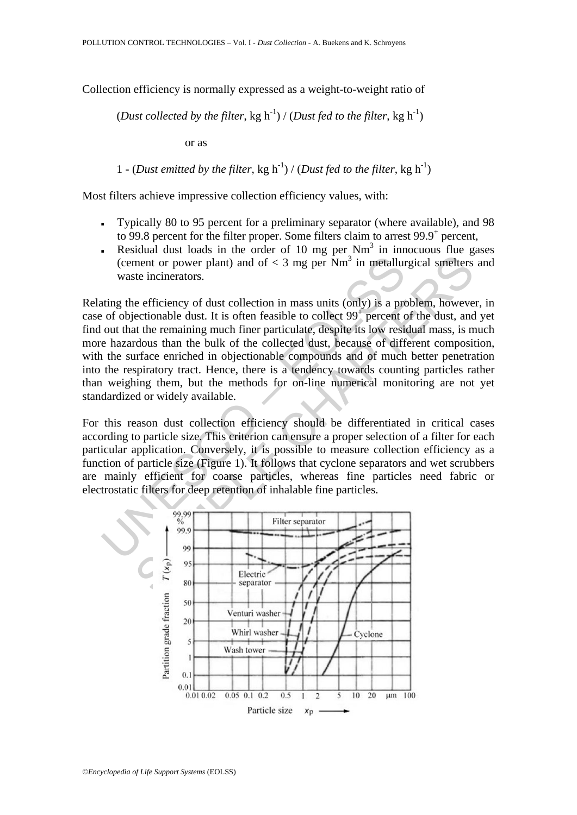Collection efficiency is normally expressed as a weight-to-weight ratio of

# (*Dust collected by the filter*, kg h<sup>-1</sup>) / (*Dust fed to the filter*, kg h<sup>-1</sup>)

or as

1 - (*Dust emitted by the filter*, kg h<sup>-1</sup>) / (*Dust fed to the filter*, kg h<sup>-1</sup>)

Most filters achieve impressive collection efficiency values, with:

- Typically 80 to 95 percent for a preliminary separator (where available), and 98 to 99.8 percent for the filter proper. Some filters claim to arrest 99.9<sup>+</sup> percent,
- **•** Residual dust loads in the order of 10 mg per  $Nm<sup>3</sup>$  in innocuous flue gases (cement or power plant) and of  $<$  3 mg per Nm<sup>3</sup> in metallurgical smelters and waste incinerators.

(cement or power plant) and of < 3 mg per Nm<sup>3</sup> in metallur<br>waste incinerators.<br>ting the efficiency of dust collection in mass units (only) is a pre<br>of objectionable dust. It is often feasible to collect 99<sup>†</sup> percent<br>out ment or power plant) and of < 3 mg per Nm<sup>3</sup> in metallurgical smelters<br>te incinerators.<br>te efficiency of dust collection in mass units (only) is a problem, howeve<br>ectionable dust. It is often feasible to collect 99<sup>†</sup> per Relating the efficiency of dust collection in mass units (only) is a problem, however, in case of objectionable dust. It is often feasible to collect  $99<sup>+</sup>$  percent of the dust, and yet find out that the remaining much finer particulate, despite its low residual mass, is much more hazardous than the bulk of the collected dust, because of different composition, with the surface enriched in objectionable compounds and of much better penetration into the respiratory tract. Hence, there is a tendency towards counting particles rather than weighing them, but the methods for on-line numerical monitoring are not yet standardized or widely available.

For this reason dust collection efficiency should be differentiated in critical cases according to particle size. This criterion can ensure a proper selection of a filter for each particular application. Conversely, it is possible to measure collection efficiency as a function of particle size (Figure 1). It follows that cyclone separators and wet scrubbers are mainly efficient for coarse particles, whereas fine particles need fabric or electrostatic filters for deep retention of inhalable fine particles.

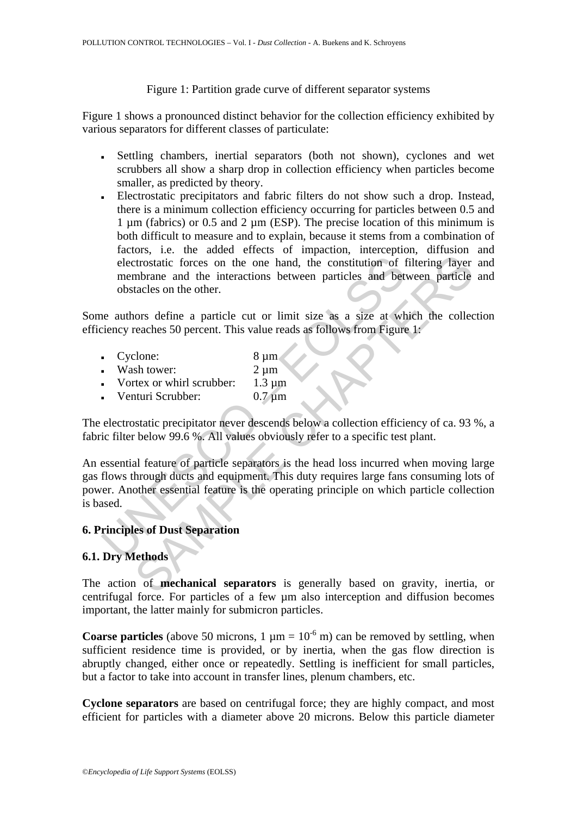### Figure 1: Partition grade curve of different separator systems

Figure 1 shows a pronounced distinct behavior for the collection efficiency exhibited by various separators for different classes of particulate:

- Settling chambers, inertial separators (both not shown), cyclones and wet scrubbers all show a sharp drop in collection efficiency when particles become smaller, as predicted by theory.
- Electrostatic precipitators and fabric filters do not show such a drop. Instead, there is a minimum collection efficiency occurring for particles between 0.5 and  $1 \mu$ m (fabrics) or 0.5 and  $2 \mu$ m (ESP). The precise location of this minimum is both difficult to measure and to explain, because it stems from a combination of factors, i.e. the added effects of impaction, interception, diffusion and electrostatic forces on the one hand, the constitution of filtering layer and membrane and the interactions between particles and between particle and obstacles on the other.

Some authors define a particle cut or limit size as a size at which the collection efficiency reaches 50 percent. This value reads as follows from Figure 1:

- Cyclone: 8 µm
- Wash tower: 2 um
- Vortex or whirl scrubber:  $1.3 \text{ µm}$
- Venturi Scrubber: 0.7 µm

The electrostatic precipitator never descends below a collection efficiency of ca. 93 %, a fabric filter below 99.6 %. All values obviously refer to a specific test plant.

electrostatic forces on the one hand, the constitution of internation and the interactions between particles and bet<br>obstacles on the other.<br>the authors define a particle cut or limit size as a size at which<br>evently reache Extractive forces on the one hand, the constitution of filtering layer<br>trostatic forces on the one hand, the constitution of filtering layer<br>mbrane and the interactions between particles and between particle<br>tacles on the An essential feature of particle separators is the head loss incurred when moving large gas flows through ducts and equipment. This duty requires large fans consuming lots of power. Another essential feature is the operating principle on which particle collection is based.

## **6. Principles of Dust Separation**

### **6.1. Dry Methods**

The action of **mechanical separators** is generally based on gravity, inertia, or centrifugal force. For particles of a few µm also interception and diffusion becomes important, the latter mainly for submicron particles.

**Coarse particles** (above 50 microns,  $1 \mu m = 10^{-6}$  m) can be removed by settling, when sufficient residence time is provided, or by inertia, when the gas flow direction is abruptly changed, either once or repeatedly. Settling is inefficient for small particles, but a factor to take into account in transfer lines, plenum chambers, etc.

**Cyclone separators** are based on centrifugal force; they are highly compact, and most efficient for particles with a diameter above 20 microns. Below this particle diameter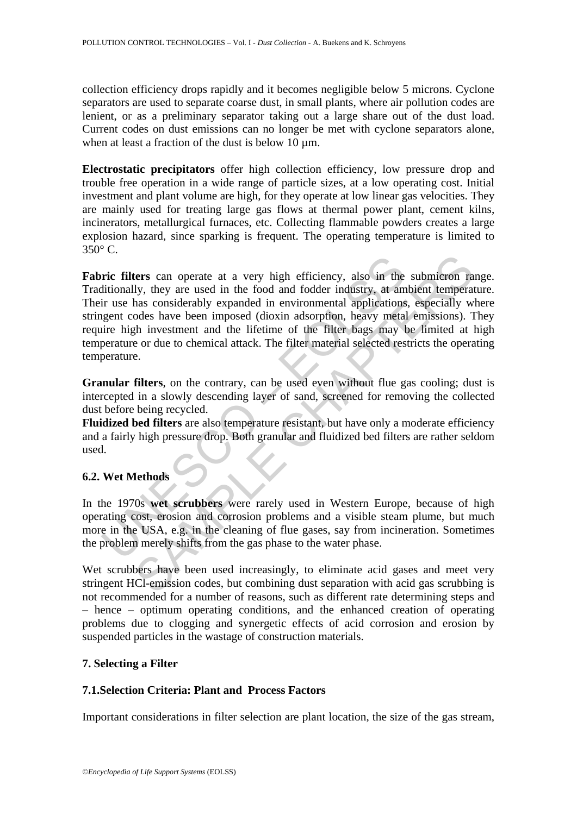collection efficiency drops rapidly and it becomes negligible below 5 microns. Cyclone separators are used to separate coarse dust, in small plants, where air pollution codes are lenient, or as a preliminary separator taking out a large share out of the dust load. Current codes on dust emissions can no longer be met with cyclone separators alone, when at least a fraction of the dust is below 10  $\mu$ m.

**Electrostatic precipitators** offer high collection efficiency, low pressure drop and trouble free operation in a wide range of particle sizes, at a low operating cost. Initial investment and plant volume are high, for they operate at low linear gas velocities. They are mainly used for treating large gas flows at thermal power plant, cement kilns, incinerators, metallurgical furnaces, etc. Collecting flammable powders creates a large explosion hazard, since sparking is frequent. The operating temperature is limited to  $350^\circ$  C.

**FRIGUESE:** The same operate at a very high efficiency, also in the ditionally, they are used in the food and fodder industry, at am in use has considerably expanded in environmental applications ugent codes have been impo ters can operate at a very high efficiency, also in the submicron raly, they are used in the food and fodder industry, at ambient temperal<br>has considerably expanded in environmental applications, especially wo<br>des have bee **Fabric filters** can operate at a very high efficiency, also in the submicron range. Traditionally, they are used in the food and fodder industry, at ambient temperature. Their use has considerably expanded in environmental applications, especially where stringent codes have been imposed (dioxin adsorption, heavy metal emissions). They require high investment and the lifetime of the filter bags may be limited at high temperature or due to chemical attack. The filter material selected restricts the operating temperature.

**Granular filters**, on the contrary, can be used even without flue gas cooling; dust is intercepted in a slowly descending layer of sand, screened for removing the collected dust before being recycled.

**Fluidized bed filters** are also temperature resistant, but have only a moderate efficiency and a fairly high pressure drop. Both granular and fluidized bed filters are rather seldom used.

### **6.2. Wet Methods**

In the 1970s **wet scrubbers** were rarely used in Western Europe, because of high operating cost, erosion and corrosion problems and a visible steam plume, but much more in the USA, e.g. in the cleaning of flue gases, say from incineration. Sometimes the problem merely shifts from the gas phase to the water phase.

Wet scrubbers have been used increasingly, to eliminate acid gases and meet very stringent HCl-emission codes, but combining dust separation with acid gas scrubbing is not recommended for a number of reasons, such as different rate determining steps and – hence – optimum operating conditions, and the enhanced creation of operating problems due to clogging and synergetic effects of acid corrosion and erosion by suspended particles in the wastage of construction materials.

### **7. Selecting a Filter**

### **7.1.Selection Criteria: Plant and Process Factors**

Important considerations in filter selection are plant location, the size of the gas stream,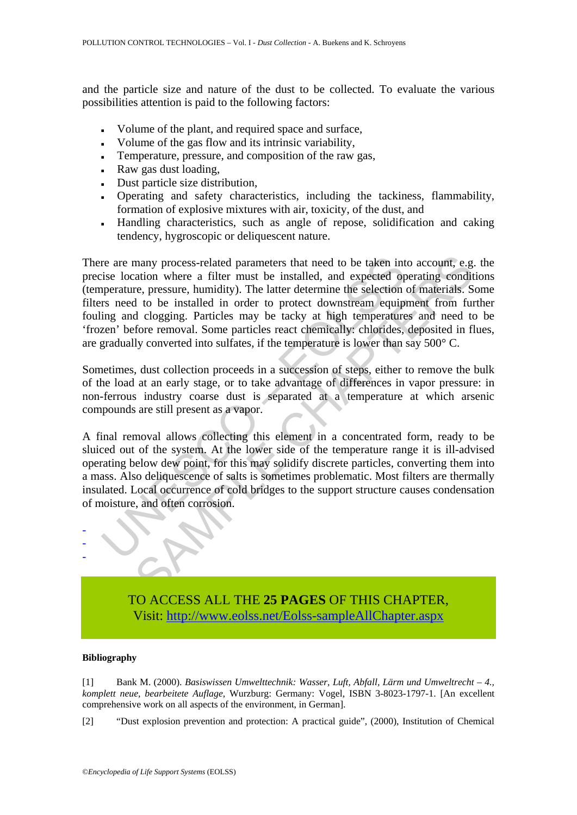and the particle size and nature of the dust to be collected. To evaluate the various possibilities attention is paid to the following factors:

- Volume of the plant, and required space and surface,
- Volume of the gas flow and its intrinsic variability,
- Temperature, pressure, and composition of the raw gas,
- Raw gas dust loading,
- Dust particle size distribution,
- Operating and safety characteristics, including the tackiness, flammability, formation of explosive mixtures with air, toxicity, of the dust, and
- Handling characteristics, such as angle of repose, solidification and caking tendency, hygroscopic or deliquescent nature.

re are many process-related parameters that need to be taken in<br>tise location where a filter must be installed, and expected op<br>pperature, pressure, humidity). The latter determine the selection<br>rs need to be installed in many process-related parameters that need to be taken into account, e.g.<br>atation where a filter must be installed, and expected operating condit<br>to the selection of materials. Some particly and the observed in the selectio There are many process-related parameters that need to be taken into account, e.g. the precise location where a filter must be installed, and expected operating conditions (temperature, pressure, humidity). The latter determine the selection of materials. Some filters need to be installed in order to protect downstream equipment from further fouling and clogging. Particles may be tacky at high temperatures and need to be 'frozen' before removal. Some particles react chemically: chlorides, deposited in flues, are gradually converted into sulfates, if the temperature is lower than say 500° C.

Sometimes, dust collection proceeds in a succession of steps, either to remove the bulk of the load at an early stage, or to take advantage of differences in vapor pressure: in non-ferrous industry coarse dust is separated at a temperature at which arsenic compounds are still present as a vapor.

A final removal allows collecting this element in a concentrated form, ready to be sluiced out of the system. At the lower side of the temperature range it is ill-advised operating below dew point, for this may solidify discrete particles, converting them into a mass. Also deliquescence of salts is sometimes problematic. Most filters are thermally insulated. Local occurrence of cold bridges to the support structure causes condensation of moisture, and often corrosion.



TO ACCESS ALL THE **25 PAGES** OF THIS CHAPTER, Visi[t: http://www.eolss.net/Eolss-sampleAllChapter.aspx](https://www.eolss.net/ebooklib/sc_cart.aspx?File=E4-14-01-05)

### **Bibliography**

[1] Bank M. (2000). *Basiswissen Umwelttechnik: Wasser, Luft, Abfall, Lärm und Umweltrecht – 4., komplett neue, bearbeitete Auflage*, Wurzburg: Germany: Vogel, ISBN 3-8023-1797-1. [An excellent comprehensive work on all aspects of the environment, in German].

[2] "Dust explosion prevention and protection: A practical guide", (2000), Institution of Chemical